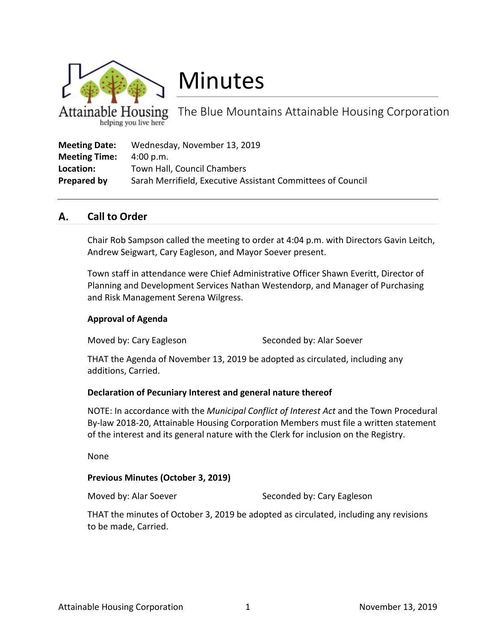

# Minutes

The Blue Mountains Attainable Housing Corporation helping you live here

| <b>Meeting Date:</b> | Wednesday, November 13, 2019                                |
|----------------------|-------------------------------------------------------------|
| <b>Meeting Time:</b> | 4:00 p.m.                                                   |
| Location:            | Town Hall, Council Chambers                                 |
| Prepared by          | Sarah Merrifield, Executive Assistant Committees of Council |

#### А. **Call to Order**

Chair Rob Sampson called the meeting to order at 4:04 p.m. with Directors Gavin Leitch, Andrew Seigwart, Cary Eagleson, and Mayor Soever present.

Town staff in attendance were Chief Administrative Officer Shawn Everitt, Director of Planning and Development Services Nathan Westendorp, and Manager of Purchasing and Risk Management Serena Wilgress.

# **Approval of Agenda**

Moved by: Cary Eagleson Seconded by: Alar Soever

THAT the Agenda of November 13, 2019 be adopted as circulated, including any additions, Carried.

# **Declaration of Pecuniary Interest and general nature thereof**

NOTE: In accordance with the *Municipal Conflict of Interest Act* and the Town Procedural By-law 2018-20, Attainable Housing Corporation Members must file a written statement of the interest and its general nature with the Clerk for inclusion on the Registry.

None

# **Previous Minutes (October 3, 2019)**

Moved by: Alar Soever Seconded by: Cary Eagleson

THAT the minutes of October 3, 2019 be adopted as circulated, including any revisions to be made, Carried.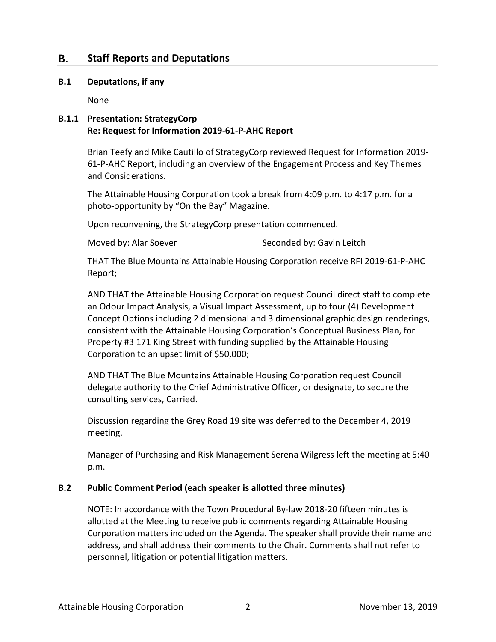#### В. **Staff Reports and Deputations**

#### **B.1 Deputations, if any**

None

# **B.1.1 Presentation: StrategyCorp Re: Request for Information 2019-61-P-AHC Report**

Brian Teefy and Mike Cautillo of StrategyCorp reviewed Request for Information 2019- 61-P-AHC Report, including an overview of the Engagement Process and Key Themes and Considerations.

The Attainable Housing Corporation took a break from 4:09 p.m. to 4:17 p.m. for a photo-opportunity by "On the Bay" Magazine.

Upon reconvening, the StrategyCorp presentation commenced.

Moved by: Alar Soever Seconded by: Gavin Leitch

THAT The Blue Mountains Attainable Housing Corporation receive RFI 2019-61-P-AHC Report;

AND THAT the Attainable Housing Corporation request Council direct staff to complete an Odour Impact Analysis, a Visual Impact Assessment, up to four (4) Development Concept Options including 2 dimensional and 3 dimensional graphic design renderings, consistent with the Attainable Housing Corporation's Conceptual Business Plan, for Property #3 171 King Street with funding supplied by the Attainable Housing Corporation to an upset limit of \$50,000;

AND THAT The Blue Mountains Attainable Housing Corporation request Council delegate authority to the Chief Administrative Officer, or designate, to secure the consulting services, Carried.

Discussion regarding the Grey Road 19 site was deferred to the December 4, 2019 meeting.

Manager of Purchasing and Risk Management Serena Wilgress left the meeting at 5:40 p.m.

# **B.2 Public Comment Period (each speaker is allotted three minutes)**

NOTE: In accordance with the Town Procedural By-law 2018-20 fifteen minutes is allotted at the Meeting to receive public comments regarding Attainable Housing Corporation matters included on the Agenda. The speaker shall provide their name and address, and shall address their comments to the Chair. Comments shall not refer to personnel, litigation or potential litigation matters.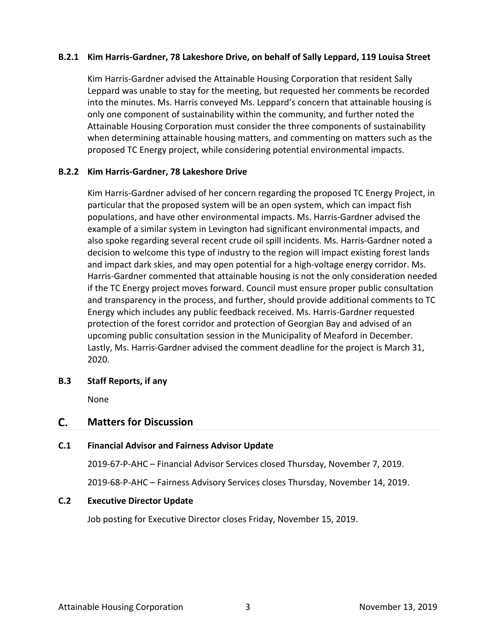# **B.2.1 Kim Harris-Gardner, 78 Lakeshore Drive, on behalf of Sally Leppard, 119 Louisa Street**

Kim Harris-Gardner advised the Attainable Housing Corporation that resident Sally Leppard was unable to stay for the meeting, but requested her comments be recorded into the minutes. Ms. Harris conveyed Ms. Leppard's concern that attainable housing is only one component of sustainability within the community, and further noted the Attainable Housing Corporation must consider the three components of sustainability when determining attainable housing matters, and commenting on matters such as the proposed TC Energy project, while considering potential environmental impacts.

# **B.2.2 Kim Harris-Gardner, 78 Lakeshore Drive**

Kim Harris-Gardner advised of her concern regarding the proposed TC Energy Project, in particular that the proposed system will be an open system, which can impact fish populations, and have other environmental impacts. Ms. Harris-Gardner advised the example of a similar system in Levington had significant environmental impacts, and also spoke regarding several recent crude oil spill incidents. Ms. Harris-Gardner noted a decision to welcome this type of industry to the region will impact existing forest lands and impact dark skies, and may open potential for a high-voltage energy corridor. Ms. Harris-Gardner commented that attainable housing is not the only consideration needed if the TC Energy project moves forward. Council must ensure proper public consultation and transparency in the process, and further, should provide additional comments to TC Energy which includes any public feedback received. Ms. Harris-Gardner requested protection of the forest corridor and protection of Georgian Bay and advised of an upcoming public consultation session in the Municipality of Meaford in December. Lastly, Ms. Harris-Gardner advised the comment deadline for the project is March 31, 2020.

# **B.3 Staff Reports, if any**

None

#### C. **Matters for Discussion**

# **C.1 Financial Advisor and Fairness Advisor Update**

2019-67-P-AHC – Financial Advisor Services closed Thursday, November 7, 2019.

2019-68-P-AHC – Fairness Advisory Services closes Thursday, November 14, 2019.

# **C.2 Executive Director Update**

Job posting for Executive Director closes Friday, November 15, 2019.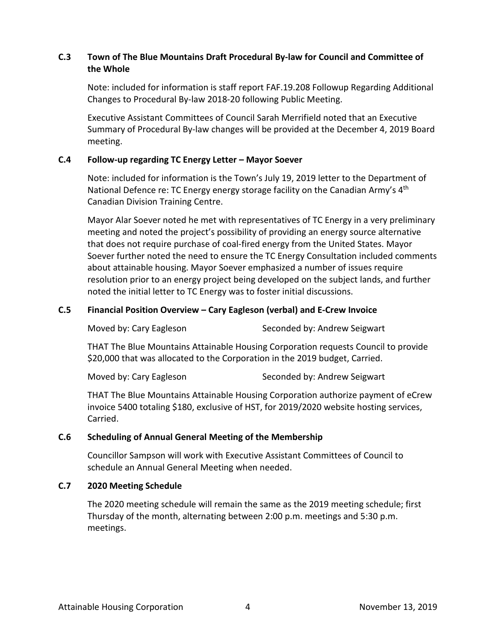# **C.3 Town of The Blue Mountains Draft Procedural By-law for Council and Committee of the Whole**

Note: included for information is staff report FAF.19.208 Followup Regarding Additional Changes to Procedural By-law 2018-20 following Public Meeting.

Executive Assistant Committees of Council Sarah Merrifield noted that an Executive Summary of Procedural By-law changes will be provided at the December 4, 2019 Board meeting.

# **C.4 Follow-up regarding TC Energy Letter – Mayor Soever**

Note: included for information is the Town's July 19, 2019 letter to the Department of National Defence re: TC Energy energy storage facility on the Canadian Army's 4<sup>th</sup> Canadian Division Training Centre.

Mayor Alar Soever noted he met with representatives of TC Energy in a very preliminary meeting and noted the project's possibility of providing an energy source alternative that does not require purchase of coal-fired energy from the United States. Mayor Soever further noted the need to ensure the TC Energy Consultation included comments about attainable housing. Mayor Soever emphasized a number of issues require resolution prior to an energy project being developed on the subject lands, and further noted the initial letter to TC Energy was to foster initial discussions.

# **C.5 Financial Position Overview – Cary Eagleson (verbal) and E-Crew Invoice**

Moved by: Cary Eagleson Seconded by: Andrew Seigwart

THAT The Blue Mountains Attainable Housing Corporation requests Council to provide \$20,000 that was allocated to the Corporation in the 2019 budget, Carried.

Moved by: Cary Eagleson Seconded by: Andrew Seigwart

THAT The Blue Mountains Attainable Housing Corporation authorize payment of eCrew invoice 5400 totaling \$180, exclusive of HST, for 2019/2020 website hosting services, Carried.

# **C.6 Scheduling of Annual General Meeting of the Membership**

Councillor Sampson will work with Executive Assistant Committees of Council to schedule an Annual General Meeting when needed.

# **C.7 2020 Meeting Schedule**

The 2020 meeting schedule will remain the same as the 2019 meeting schedule; first Thursday of the month, alternating between 2:00 p.m. meetings and 5:30 p.m. meetings.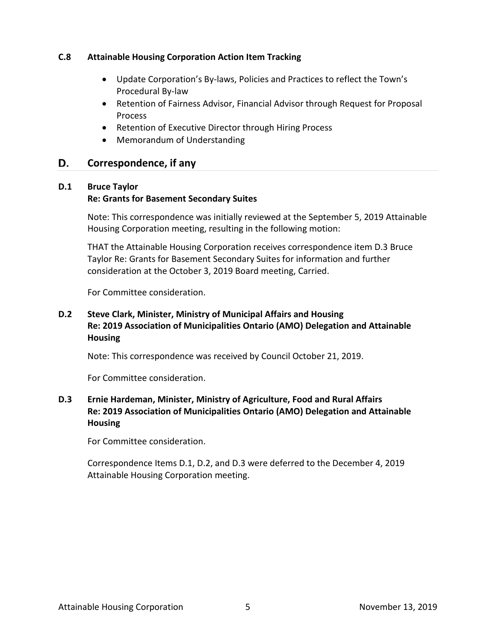# **C.8 Attainable Housing Corporation Action Item Tracking**

- Update Corporation's By-laws, Policies and Practices to reflect the Town's Procedural By-law
- Retention of Fairness Advisor, Financial Advisor through Request for Proposal Process
- Retention of Executive Director through Hiring Process
- Memorandum of Understanding

#### D. **Correspondence, if any**

# **D.1 Bruce Taylor**

# **Re: Grants for Basement Secondary Suites**

Note: This correspondence was initially reviewed at the September 5, 2019 Attainable Housing Corporation meeting, resulting in the following motion:

THAT the Attainable Housing Corporation receives correspondence item D.3 Bruce Taylor Re: Grants for Basement Secondary Suites for information and further consideration at the October 3, 2019 Board meeting, Carried.

For Committee consideration.

# **D.2 Steve Clark, Minister, Ministry of Municipal Affairs and Housing Re: 2019 Association of Municipalities Ontario (AMO) Delegation and Attainable Housing**

Note: This correspondence was received by Council October 21, 2019.

For Committee consideration.

# **D.3 Ernie Hardeman, Minister, Ministry of Agriculture, Food and Rural Affairs Re: 2019 Association of Municipalities Ontario (AMO) Delegation and Attainable Housing**

For Committee consideration.

Correspondence Items D.1, D.2, and D.3 were deferred to the December 4, 2019 Attainable Housing Corporation meeting.